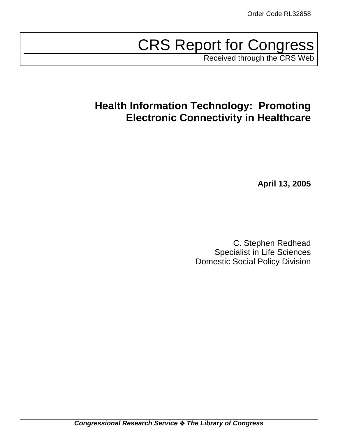# CRS Report for Congress

Received through the CRS Web

# **Health Information Technology: Promoting Electronic Connectivity in Healthcare**

**April 13, 2005**

C. Stephen Redhead Specialist in Life Sciences Domestic Social Policy Division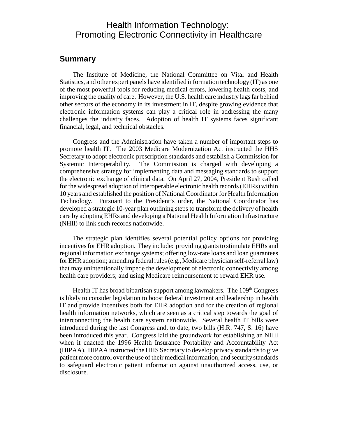### Health Information Technology: Promoting Electronic Connectivity in Healthcare

### **Summary**

The Institute of Medicine, the National Committee on Vital and Health Statistics, and other expert panels have identified information technology (IT) as one of the most powerful tools for reducing medical errors, lowering health costs, and improving the quality of care. However, the U.S. health care industry lags far behind other sectors of the economy in its investment in IT, despite growing evidence that electronic information systems can play a critical role in addressing the many challenges the industry faces. Adoption of health IT systems faces significant financial, legal, and technical obstacles.

Congress and the Administration have taken a number of important steps to promote health IT. The 2003 Medicare Modernization Act instructed the HHS Secretary to adopt electronic prescription standards and establish a Commission for Systemic Interoperability. The Commission is charged with developing a comprehensive strategy for implementing data and messaging standards to support the electronic exchange of clinical data. On April 27, 2004, President Bush called for the widespread adoption of interoperable electronic health records (EHRs) within 10 years and established the position of National Coordinator for Health Information Technology. Pursuant to the President's order, the National Coordinator has developed a strategic 10-year plan outlining steps to transform the delivery of health care by adopting EHRs and developing a National Health Information Infrastructure (NHII) to link such records nationwide.

The strategic plan identifies several potential policy options for providing incentives for EHR adoption. They include: providing grants to stimulate EHRs and regional information exchange systems; offering low-rate loans and loan guarantees for EHR adoption; amending federal rules (e.g., Medicare physician self-referral law) that may unintentionally impede the development of electronic connectivity among health care providers; and using Medicare reimbursement to reward EHR use.

Health IT has broad bipartisan support among lawmakers. The  $109<sup>th</sup> Congress$ is likely to consider legislation to boost federal investment and leadership in health IT and provide incentives both for EHR adoption and for the creation of regional health information networks, which are seen as a critical step towards the goal of interconnecting the health care system nationwide. Several health IT bills were introduced during the last Congress and, to date, two bills (H.R. 747, S. 16) have been introduced this year. Congress laid the groundwork for establishing an NHII when it enacted the 1996 Health Insurance Portability and Accountability Act (HIPAA). HIPAA instructed the HHS Secretary to develop privacy standards to give patient more control over the use of their medical information, and security standards to safeguard electronic patient information against unauthorized access, use, or disclosure.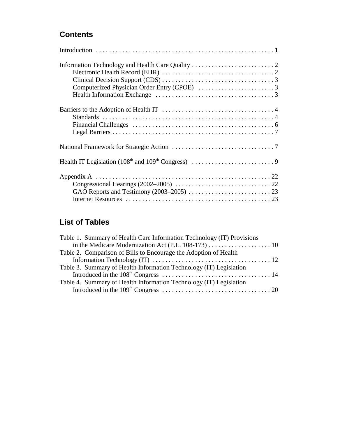### **Contents**

### **List of Tables**

| Table 1. Summary of Health Care Information Technology (IT) Provisions |  |
|------------------------------------------------------------------------|--|
|                                                                        |  |
| Table 2. Comparison of Bills to Encourage the Adoption of Health       |  |
|                                                                        |  |
| Table 3. Summary of Health Information Technology (IT) Legislation     |  |
|                                                                        |  |
| Table 4. Summary of Health Information Technology (IT) Legislation     |  |
|                                                                        |  |
|                                                                        |  |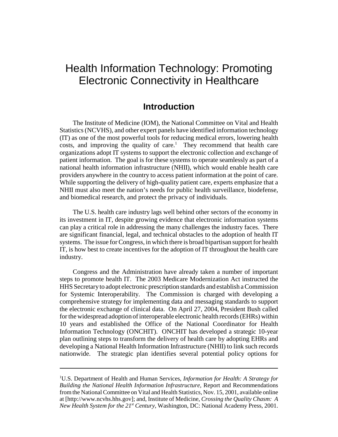# Health Information Technology: Promoting Electronic Connectivity in Healthcare

### **Introduction**

The Institute of Medicine (IOM), the National Committee on Vital and Health Statistics (NCVHS), and other expert panels have identified information technology (IT) as one of the most powerful tools for reducing medical errors, lowering health  $costs$ , and improving the quality of care.<sup>1</sup> They recommend that health care organizations adopt IT systems to support the electronic collection and exchange of patient information. The goal is for these systems to operate seamlessly as part of a national health information infrastructure (NHII), which would enable health care providers anywhere in the country to access patient information at the point of care. While supporting the delivery of high-quality patient care, experts emphasize that a NHII must also meet the nation's needs for public health surveillance, biodefense, and biomedical research, and protect the privacy of individuals.

The U.S. health care industry lags well behind other sectors of the economy in its investment in IT, despite growing evidence that electronic information systems can play a critical role in addressing the many challenges the industry faces. There are significant financial, legal, and technical obstacles to the adoption of health IT systems. The issue for Congress, in which there is broad bipartisan support for health IT, is how best to create incentives for the adoption of IT throughout the health care industry.

Congress and the Administration have already taken a number of important steps to promote health IT. The 2003 Medicare Modernization Act instructed the HHS Secretary to adopt electronic prescription standards and establish a Commission for Systemic Interoperability. The Commission is charged with developing a comprehensive strategy for implementing data and messaging standards to support the electronic exchange of clinical data. On April 27, 2004, President Bush called for the widespread adoption of interoperable electronic health records (EHRs) within 10 years and established the Office of the National Coordinator for Health Information Technology (ONCHIT). ONCHIT has developed a strategic 10-year plan outlining steps to transform the delivery of health care by adopting EHRs and developing a National Health Information Infrastructure (NHII) to link such records nationwide. The strategic plan identifies several potential policy options for

<sup>1</sup> U.S. Department of Health and Human Services, *Information for Health: A Strategy for Building the National Health Information Infrastructure,* Report and Recommendations from the National Committee on Vital and Health Statistics, Nov. 15, 2001, available online at [http://www.ncvhs.hhs.gov]; and, Institute of Medicine, *Crossing the Quality Chasm: A New Health System for the 21st Century,* Washington, DC: National Academy Press, 2001.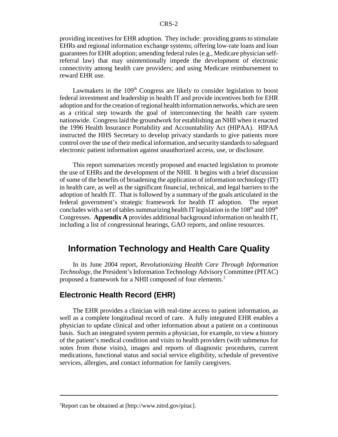providing incentives for EHR adoption. They include: providing grants to stimulate EHRs and regional information exchange systems; offering low-rate loans and loan guarantees for EHR adoption; amending federal rules (e.g., Medicare physician selfreferral law) that may unintentionally impede the development of electronic connectivity among health care providers; and using Medicare reimbursement to reward EHR use.

Lawmakers in the  $109<sup>th</sup>$  Congress are likely to consider legislation to boost federal investment and leadership in health IT and provide incentives both for EHR adoption and for the creation of regional health information networks, which are seen as a critical step towards the goal of interconnecting the health care system nationwide. Congress laid the groundwork for establishing an NHII when it enacted the 1996 Health Insurance Portability and Accountability Act (HIPAA). HIPAA instructed the HHS Secretary to develop privacy standards to give patients more control over the use of their medical information, and security standards to safeguard electronic patient information against unauthorized access, use, or disclosure.

This report summarizes recently proposed and enacted legislation to promote the use of EHRs and the development of the NHII. It begins with a brief discussion of some of the benefits of broadening the application of information technology (IT) in health care, as well as the significant financial, technical, and legal barriers to the adoption of health IT. That is followed by a summary of the goals articulated in the federal government's strategic framework for health IT adoption. The report concludes with a set of tables summarizing health IT legislation in the  $108<sup>th</sup>$  and  $109<sup>th</sup>$ Congresses. **Appendix A** provides additional background information on health IT, including a list of congressional hearings, GAO reports, and online resources.

### **Information Technology and Health Care Quality**

In its June 2004 report, *Revolutionizing Health Care Through Information Technology,* the President's Information Technology Advisory Committee (PITAC) proposed a framework for a NHII composed of four elements.<sup>2</sup>

#### **Electronic Health Record (EHR)**

The EHR provides a clinician with real-time access to patient information, as well as a complete longitudinal record of care. A fully integrated EHR enables a physician to update clinical and other information about a patient on a continuous basis. Such an integrated system permits a physician, for example, to view a history of the patient's medical condition and visits to health providers (with submenus for notes from those visits), images and reports of diagnostic procedures, current medications, functional status and social service eligibility, schedule of preventive services, allergies, and contact information for family caregivers.

<sup>&</sup>lt;sup>2</sup>Report can be obtained at [http://www.nitrd.gov/pitac].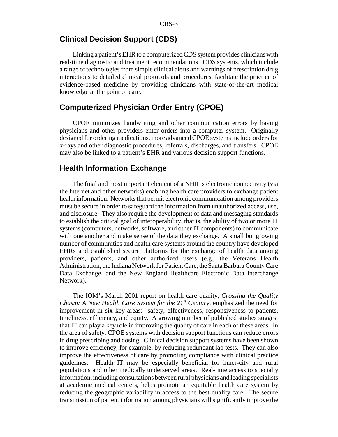### **Clinical Decision Support (CDS)**

Linking a patient's EHR to a computerized CDS system provides clinicians with real-time diagnostic and treatment recommendations. CDS systems, which include a range of technologies from simple clinical alerts and warnings of prescription drug interactions to detailed clinical protocols and procedures, facilitate the practice of evidence-based medicine by providing clinicians with state-of-the-art medical knowledge at the point of care.

#### **Computerized Physician Order Entry (CPOE)**

CPOE minimizes handwriting and other communication errors by having physicians and other providers enter orders into a computer system. Originally designed for ordering medications, more advanced CPOE systems include orders for x-rays and other diagnostic procedures, referrals, discharges, and transfers. CPOE may also be linked to a patient's EHR and various decision support functions.

#### **Health Information Exchange**

The final and most important element of a NHII is electronic connectivity (via the Internet and other networks) enabling health care providers to exchange patient health information. Networks that permit electronic communication among providers must be secure in order to safeguard the information from unauthorized access, use, and disclosure. They also require the development of data and messaging standards to establish the critical goal of interoperability, that is, the ability of two or more IT systems (computers, networks, software, and other IT components) to communicate with one another and make sense of the data they exchange. A small but growing number of communities and health care systems around the country have developed EHRs and established secure platforms for the exchange of health data among providers, patients, and other authorized users (e.g., the Veterans Health Administration, the Indiana Network for Patient Care, the Santa Barbara County Care Data Exchange, and the New England Healthcare Electronic Data Interchange Network).

The IOM's March 2001 report on health care quality, *Crossing the Quality Chasm: A New Health Care System for the 21<sup>st</sup> Century, emphasized the need for* improvement in six key areas: safety, effectiveness, responsiveness to patients, timeliness, efficiency, and equity. A growing number of published studies suggest that IT can play a key role in improving the quality of care in each of these areas. In the area of safety, CPOE systems with decision support functions can reduce errors in drug prescribing and dosing. Clinical decision support systems have been shown to improve efficiency, for example, by reducing redundant lab tests. They can also improve the effectiveness of care by promoting compliance with clinical practice guidelines. Health IT may be especially beneficial for inner-city and rural populations and other medically underserved areas. Real-time access to specialty information, including consultations between rural physicians and leading specialists at academic medical centers, helps promote an equitable health care system by reducing the geographic variability in access to the best quality care. The secure transmission of patient information among physicians will significantly improve the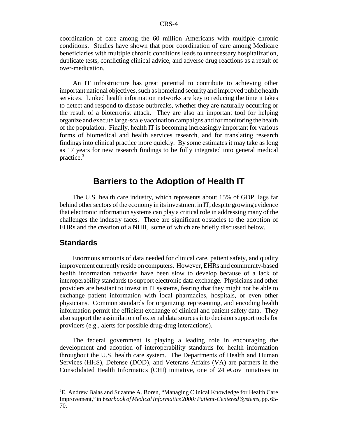coordination of care among the 60 million Americans with multiple chronic conditions. Studies have shown that poor coordination of care among Medicare beneficiaries with multiple chronic conditions leads to unnecessary hospitalization, duplicate tests, conflicting clinical advice, and adverse drug reactions as a result of over-medication.

An IT infrastructure has great potential to contribute to achieving other important national objectives, such as homeland security and improved public health services. Linked health information networks are key to reducing the time it takes to detect and respond to disease outbreaks, whether they are naturally occurring or the result of a bioterrorist attack. They are also an important tool for helping organize and execute large-scale vaccination campaigns and for monitoring the health of the population. Finally, health IT is becoming increasingly important for various forms of biomedical and health services research, and for translating research findings into clinical practice more quickly. By some estimates it may take as long as 17 years for new research findings to be fully integrated into general medical practice.3

### **Barriers to the Adoption of Health IT**

The U.S. health care industry, which represents about 15% of GDP, lags far behind other sectors of the economy in its investment in IT, despite growing evidence that electronic information systems can play a critical role in addressing many of the challenges the industry faces. There are significant obstacles to the adoption of EHRs and the creation of a NHII, some of which are briefly discussed below.

#### **Standards**

Enormous amounts of data needed for clinical care, patient safety, and quality improvement currently reside on computers. However, EHRs and community-based health information networks have been slow to develop because of a lack of interoperability standards to support electronic data exchange. Physicians and other providers are hesitant to invest in IT systems, fearing that they might not be able to exchange patient information with local pharmacies, hospitals, or even other physicians. Common standards for organizing, representing, and encoding health information permit the efficient exchange of clinical and patient safety data. They also support the assimilation of external data sources into decision support tools for providers (e.g., alerts for possible drug-drug interactions).

The federal government is playing a leading role in encouraging the development and adoption of interoperability standards for health information throughout the U.S. health care system. The Departments of Health and Human Services (HHS), Defense (DOD), and Veterans Affairs (VA) are partners in the Consolidated Health Informatics (CHI) initiative, one of 24 eGov initiatives to

<sup>&</sup>lt;sup>3</sup>E. Andrew Balas and Suzanne A. Boren, "Managing Clinical Knowledge for Health Care Improvement," in *Yearbook of Medical Informatics 2000: Patient-Centered Systems,* pp. 65- 70.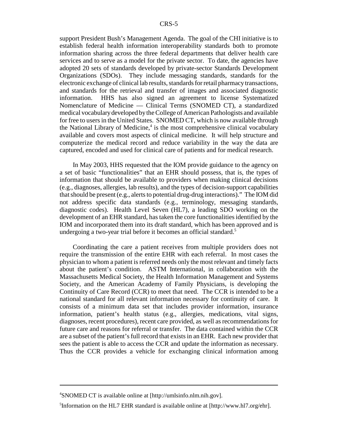support President Bush's Management Agenda. The goal of the CHI initiative is to establish federal health information interoperability standards both to promote information sharing across the three federal departments that deliver health care services and to serve as a model for the private sector. To date, the agencies have adopted 20 sets of standards developed by private-sector Standards Development Organizations (SDOs). They include messaging standards, standards for the electronic exchange of clinical lab results, standards for retail pharmacy transactions, and standards for the retrieval and transfer of images and associated diagnostic information. HHS has also signed an agreement to license Systematized Nomenclature of Medicine — Clinical Terms (SNOMED CT), a standardized medical vocabulary developed by the College of American Pathologists and available for free to users in the United States. SNOMED CT, which is now available through the National Library of Medicine,<sup>4</sup> is the most comprehensive clinical vocabulary available and covers most aspects of clinical medicine. It will help structure and computerize the medical record and reduce variability in the way the data are captured, encoded and used for clinical care of patients and for medical research.

In May 2003, HHS requested that the IOM provide guidance to the agency on a set of basic "functionalities" that an EHR should possess, that is, the types of information that should be available to providers when making clinical decisions (e.g., diagnoses, allergies, lab results), and the types of decision-support capabilities that should be present (e.g., alerts to potential drug-drug interactions)." The IOM did not address specific data standards (e.g., terminology, messaging standards, diagnostic codes). Health Level Seven (HL7), a leading SDO working on the development of an EHR standard, has taken the core functionalities identified by the IOM and incorporated them into its draft standard, which has been approved and is undergoing a two-year trial before it becomes an official standard.<sup>5</sup>

Coordinating the care a patient receives from multiple providers does not require the transmission of the entire EHR with each referral. In most cases the physician to whom a patient is referred needs only the most relevant and timely facts about the patient's condition. ASTM International, in collaboration with the Massachusetts Medical Society, the Health Information Management and Systems Society, and the American Academy of Family Physicians, is developing the Continuity of Care Record (CCR) to meet that need. The CCR is intended to be a national standard for all relevant information necessary for continuity of care. It consists of a minimum data set that includes provider information, insurance information, patient's health status (e.g., allergies, medications, vital signs, diagnoses, recent procedures), recent care provided, as well as recommendations for future care and reasons for referral or transfer. The data contained within the CCR are a subset of the patient's full record that exists in an EHR. Each new provider that sees the patient is able to access the CCR and update the information as necessary. Thus the CCR provides a vehicle for exchanging clinical information among

<sup>4</sup> SNOMED CT is available online at [http://umlsinfo.nlm.nih.gov].

<sup>&</sup>lt;sup>5</sup>Information on the HL7 EHR standard is available online at [http://www.hl7.org/ehr].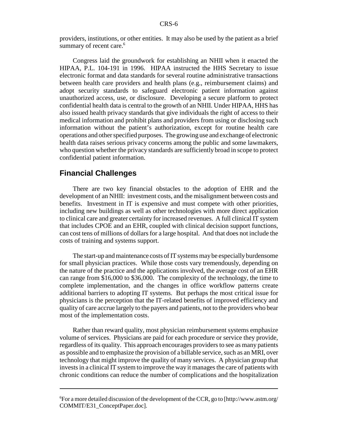providers, institutions, or other entities. It may also be used by the patient as a brief summary of recent care.<sup>6</sup>

Congress laid the groundwork for establishing an NHII when it enacted the HIPAA, P.L. 104-191 in 1996. HIPAA instructed the HHS Secretary to issue electronic format and data standards for several routine administrative transactions between health care providers and health plans (e.g., reimbursement claims) and adopt security standards to safeguard electronic patient information against unauthorized access, use, or disclosure. Developing a secure platform to protect confidential health data is central to the growth of an NHII. Under HIPAA, HHS has also issued health privacy standards that give individuals the right of access to their medical information and prohibit plans and providers from using or disclosing such information without the patient's authorization, except for routine health care operations and other specified purposes. The growing use and exchange of electronic health data raises serious privacy concerns among the public and some lawmakers, who question whether the privacy standards are sufficiently broad in scope to protect confidential patient information.

#### **Financial Challenges**

There are two key financial obstacles to the adoption of EHR and the development of an NHII: investment costs, and the misalignment between costs and benefits. Investment in IT is expensive and must compete with other priorities, including new buildings as well as other technologies with more direct application to clinical care and greater certainty for increased revenues. A full clinical IT system that includes CPOE and an EHR, coupled with clinical decision support functions, can cost tens of millions of dollars for a large hospital. And that does not include the costs of training and systems support.

The start-up and maintenance costs of IT systems may be especially burdensome for small physician practices. While those costs vary tremendously, depending on the nature of the practice and the applications involved, the average cost of an EHR can range from \$16,000 to \$36,000. The complexity of the technology, the time to complete implementation, and the changes in office workflow patterns create additional barriers to adopting IT systems. But perhaps the most critical issue for physicians is the perception that the IT-related benefits of improved efficiency and quality of care accrue largely to the payers and patients, not to the providers who bear most of the implementation costs.

Rather than reward quality, most physician reimbursement systems emphasize volume of services. Physicians are paid for each procedure or service they provide, regardless of its quality. This approach encourages providers to see as many patients as possible and to emphasize the provision of a billable service, such as an MRI, over technology that might improve the quality of many services. A physician group that invests in a clinical IT system to improve the way it manages the care of patients with chronic conditions can reduce the number of complications and the hospitalization

<sup>6</sup> For a more detailed discussion of the development of the CCR, go to [http://www.astm.org/ COMMIT/E31\_ConceptPaper.doc].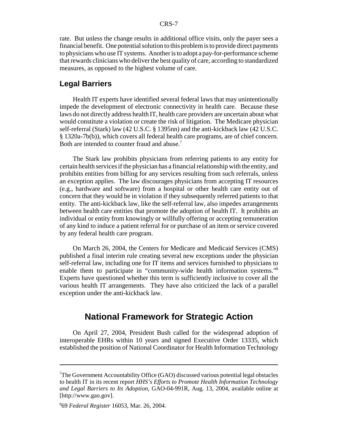rate. But unless the change results in additional office visits, only the payer sees a financial benefit. One potential solution to this problem is to provide direct payments to physicians who use IT systems. Another is to adopt a pay-for-performance scheme that rewards clinicians who deliver the best quality of care, according to standardized measures, as opposed to the highest volume of care.

#### **Legal Barriers**

Health IT experts have identified several federal laws that may unintentionally impede the development of electronic connectivity in health care. Because these laws do not directly address health IT, health care providers are uncertain about what would constitute a violation or create the risk of litigation. The Medicare physician self-referral (Stark) law (42 U.S.C. § 1395nn) and the anti-kickback law (42 U.S.C. § 1320a-7b(b)), which covers all federal health care programs, are of chief concern. Both are intended to counter fraud and abuse.<sup>7</sup>

The Stark law prohibits physicians from referring patients to any entity for certain health services if the physician has a financial relationship with the entity, and prohibits entities from billing for any services resulting from such referrals, unless an exception applies. The law discourages physicians from accepting IT resources (e.g., hardware and software) from a hospital or other health care entity out of concern that they would be in violation if they subsequently referred patients to that entity. The anti-kickback law, like the self-referral law, also impedes arrangements between health care entities that promote the adoption of health IT. It prohibits an individual or entity from knowingly or willfully offering or accepting remuneration of any kind to induce a patient referral for or purchase of an item or service covered by any federal health care program.

On March 26, 2004, the Centers for Medicare and Medicaid Services (CMS) published a final interim rule creating several new exceptions under the physician self-referral law, including one for IT items and services furnished to physicians to enable them to participate in "community-wide health information systems."<sup>8</sup> Experts have questioned whether this term is sufficiently inclusive to cover all the various health IT arrangements. They have also criticized the lack of a parallel exception under the anti-kickback law.

### **National Framework for Strategic Action**

On April 27, 2004, President Bush called for the widespread adoption of interoperable EHRs within 10 years and signed Executive Order 13335, which established the position of National Coordinator for Health Information Technology

<sup>7</sup> The Government Accountability Office (GAO) discussed various potential legal obstacles to health IT in its recent report *HHS's Efforts to Promote Health Information Technology and Legal Barriers to Its Adoption,* GAO-04-991R, Aug. 13, 2004, available online at [http://www.gao.gov].

<sup>8</sup> 69 *Federal Register* 16053, Mar. 26, 2004.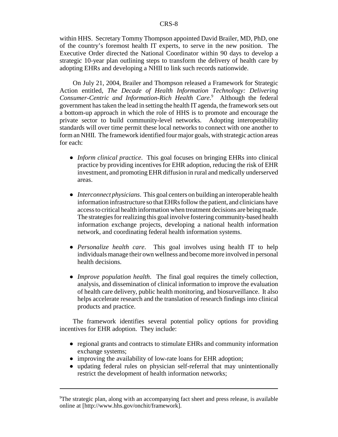within HHS. Secretary Tommy Thompson appointed David Brailer, MD, PhD, one of the country's foremost health IT experts, to serve in the new position. The Executive Order directed the National Coordinator within 90 days to develop a strategic 10-year plan outlining steps to transform the delivery of health care by adopting EHRs and developing a NHII to link such records nationwide.

On July 21, 2004, Brailer and Thompson released a Framework for Strategic Action entitled, *The Decade of Health Information Technology: Delivering Consumer-Centric and Information-Rich Health Care.*<sup>9</sup> Although the federal government has taken the lead in setting the health IT agenda, the framework sets out a bottom-up approach in which the role of HHS is to promote and encourage the private sector to build community-level networks. Adopting interoperability standards will over time permit these local networks to connect with one another to form an NHII. The framework identified four major goals, with strategic action areas for each:

- ! *Inform clinical practice*. This goal focuses on bringing EHRs into clinical practice by providing incentives for EHR adoption, reducing the risk of EHR investment, and promoting EHR diffusion in rural and medically underserved areas.
- ! *Interconnect physicians*. This goal centers on building an interoperable health information infrastructure so that EHRs follow the patient, and clinicians have access to critical health information when treatment decisions are being made. The strategies for realizing this goal involve fostering community-based health information exchange projects, developing a national health information network, and coordinating federal health information systems.
- ! *Personalize health care*. This goal involves using health IT to help individuals manage their own wellness and become more involved in personal health decisions.
- ! *Improve population health*. The final goal requires the timely collection, analysis, and dissemination of clinical information to improve the evaluation of health care delivery, public health monitoring, and biosurveillance. It also helps accelerate research and the translation of research findings into clinical products and practice.

The framework identifies several potential policy options for providing incentives for EHR adoption. They include:

- regional grants and contracts to stimulate EHRs and community information exchange systems;
- improving the availability of low-rate loans for EHR adoption;
- ! updating federal rules on physician self-referral that may unintentionally restrict the development of health information networks;

<sup>&</sup>lt;sup>9</sup>The strategic plan, along with an accompanying fact sheet and press release, is available online at [http://www.hhs.gov/onchit/framework].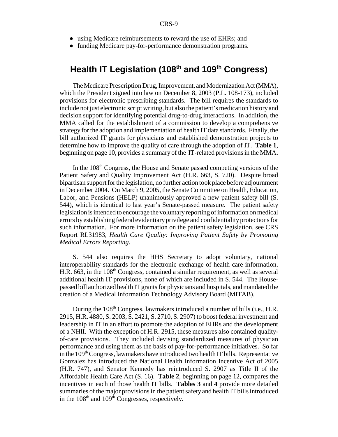- using Medicare reimbursements to reward the use of EHRs; and
- funding Medicare pay-for-performance demonstration programs.

### Health IT Legislation (108<sup>th</sup> and 109<sup>th</sup> Congress)

The Medicare Prescription Drug, Improvement, and Modernization Act (MMA), which the President signed into law on December 8, 2003 (P.L. 108-173), included provisions for electronic prescribing standards. The bill requires the standards to include not just electronic script writing, but also the patient's medication history and decision support for identifying potential drug-to-drug interactions. In addition, the MMA called for the establishment of a commission to develop a comprehensive strategy for the adoption and implementation of health IT data standards. Finally, the bill authorized IT grants for physicians and established demonstration projects to determine how to improve the quality of care through the adoption of IT. **Table 1**, beginning on page 10, provides a summary of the IT-related provisions in the MMA.

In the  $108<sup>th</sup>$  Congress, the House and Senate passed competing versions of the Patient Safety and Quality Improvement Act (H.R. 663, S. 720). Despite broad bipartisan support for the legislation, no further action took place before adjournment in December 2004. On March 9, 2005, the Senate Committee on Health, Education, Labor, and Pensions (HELP) unanimously approved a new patient safety bill (S. 544), which is identical to last year's Senate-passed measure. The patient safety legislation is intended to encourage the voluntary reporting of information on medical errors by establishing federal evidentiary privilege and confidentiality protections for such information. For more information on the patient safety legislation, see CRS Report RL31983, *Health Care Quality: Improving Patient Safety by Promoting Medical Errors Reporting.*

S. 544 also requires the HHS Secretary to adopt voluntary, national interoperability standards for the electronic exchange of health care information. H.R.  $663$ , in the  $108<sup>th</sup>$  Congress, contained a similar requirement, as well as several additional health IT provisions, none of which are included in S. 544. The Housepassed bill authorized health IT grants for physicians and hospitals, and mandated the creation of a Medical Information Technology Advisory Board (MITAB).

During the 108<sup>th</sup> Congress, lawmakers introduced a number of bills (i.e., H.R. 2915, H.R. 4880, S. 2003, S. 2421, S. 2710, S. 2907) to boost federal investment and leadership in IT in an effort to promote the adoption of EHRs and the development of a NHII. With the exception of H.R. 2915, these measures also contained qualityof-care provisions. They included devising standardized measures of physician performance and using them as the basis of pay-for-performance initiatives. So far in the 109<sup>th</sup> Congress, lawmakers have introduced two health IT bills. Representative Gonzalez has introduced the National Health Information Incentive Act of 2005 (H.R. 747), and Senator Kennedy has reintroduced S. 2907 as Title II of the Affordable Health Care Act (S. 16). **Table 2**, beginning on page 12, compares the incentives in each of those health IT bills. **Tables 3** and **4** provide more detailed summaries of the major provisions in the patient safety and health IT bills introduced in the  $108<sup>th</sup>$  and  $109<sup>th</sup>$  Congresses, respectively.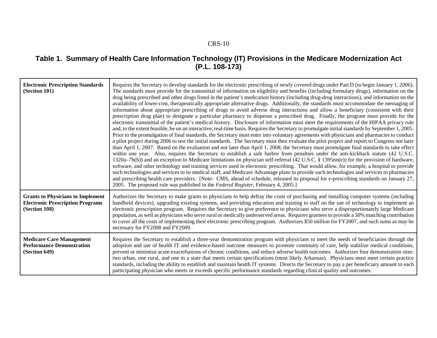#### **Table 1. Summary of Health Care Information Technology (IT) Provisions in the Medicare Modernization Act (P.L. 108-173)**

| <b>Electronic Prescription Standards</b><br>(Section 101)                                            | Requires the Secretary to develop standards for the electronic prescribing of newly covered drugs under Part D (to begin January 1, 2006).<br>The standards must provide for the transmittal of information on eligibility and benefits (including formulary drugs), information on the<br>drug being prescribed and other drugs listed in the patient's medication history (including drug-drug interactions), and information on the<br>availability of lower-cost, therapeutically appropriate alternative drugs. Additionally, the standards must accommodate the messaging of<br>information about appropriate prescribing of drugs to avoid adverse drug interactions and allow a beneficiary (consistent with their<br>prescription drug plan) to designate a particular pharmacy to dispense a prescribed drug. Finally, the program must provide for the<br>electronic transmittal of the patient's medical history. Disclosure of information must meet the requirements of the HIPAA privacy rule<br>and, to the extent feasible, be on an interactive, real-time basis. Requires the Secretary to promulgate initial standards by September 1, 2005.<br>Prior to the promulgation of final standards, the Secretary must enter into voluntary agreements with physicians and pharmacies to conduct<br>a pilot project during 2006 to test the initial standards. The Secretary must then evaluate the pilot project and report to Congress not later<br>than April 1, 2007. Based on the evaluation and not later than April 1, 2008, the Secretary must promulgate final standards to take effect<br>within one year. Also, requires the Secretary to establish a safe harbor from penalties under the anti-kickback statute (42 U.S.C.<br>1320a–7b(b)) and an exception to Medicare limitations on physician self-referral (42 U.S.C. § 1395nn(e)) for the provision of hardware,<br>software, and other technology and training services used in electronic prescribing. That would allow, for example, a hospital to provide<br>such technologies and services to its medical staff, and Medicare Advantage plans to provide such technologies and services to pharmacies<br>and prescribing health care providers. [Note: CMS, ahead of schedule, released its proposal for e-prescribing standards on January 27,<br>2005. The proposed rule was published in the Federal Register, February 4, 2005.] |
|------------------------------------------------------------------------------------------------------|--------------------------------------------------------------------------------------------------------------------------------------------------------------------------------------------------------------------------------------------------------------------------------------------------------------------------------------------------------------------------------------------------------------------------------------------------------------------------------------------------------------------------------------------------------------------------------------------------------------------------------------------------------------------------------------------------------------------------------------------------------------------------------------------------------------------------------------------------------------------------------------------------------------------------------------------------------------------------------------------------------------------------------------------------------------------------------------------------------------------------------------------------------------------------------------------------------------------------------------------------------------------------------------------------------------------------------------------------------------------------------------------------------------------------------------------------------------------------------------------------------------------------------------------------------------------------------------------------------------------------------------------------------------------------------------------------------------------------------------------------------------------------------------------------------------------------------------------------------------------------------------------------------------------------------------------------------------------------------------------------------------------------------------------------------------------------------------------------------------------------------------------------------------------------------------------------------------------------------------------------------------------------------------------------------------------------------------------------------------------------------------------------------------------------|
| <b>Grants to Physicians to Implement</b><br><b>Electronic Prescription Programs</b><br>(Section 108) | Authorizes the Secretary to make grants to physicians to help defray the costs of purchasing and installing computer systems (including<br>handheld devices), upgrading existing systems, and providing education and training to staff on the use of technology to implement an<br>electronic prescription program. Requires the Secretary to give preference to physicians who serve a disproportionately large Medicare<br>population, as well as physicians who serve rural or medically underserved areas. Requires grantees to provide a 50% matching contribution<br>to cover all the costs of implementing their electronic prescribing program. Authorizes \$50 million for FY2007, and such sums as may be<br>necessary for FY2008 and FY2009.                                                                                                                                                                                                                                                                                                                                                                                                                                                                                                                                                                                                                                                                                                                                                                                                                                                                                                                                                                                                                                                                                                                                                                                                                                                                                                                                                                                                                                                                                                                                                                                                                                                                 |
| <b>Medicare Care Management</b><br><b>Performance Demonstration</b><br>(Section 649)                 | Requires the Secretary to establish a three-year demonstration program with physicians to meet the needs of beneficiaries through the<br>adoption and use of health IT and evidence-based outcome measures to promote continuity of care, help stabilize medical conditions,<br>prevent or minimize acute exacerbations of chronic conditions, and reduce adverse health outcomes. Authorizes four demonstration sites:<br>two urban, one rural, and one in a state that meets certain specifications (most likely Arkansas). Physicians must meet certain practice<br>standards, including the ability to establish and maintain health IT systems. Directs the Secretary to pay a per beneficiary amount to each<br>participating physician who meets or exceeds specific performance standards regarding clinical quality and outcomes.                                                                                                                                                                                                                                                                                                                                                                                                                                                                                                                                                                                                                                                                                                                                                                                                                                                                                                                                                                                                                                                                                                                                                                                                                                                                                                                                                                                                                                                                                                                                                                               |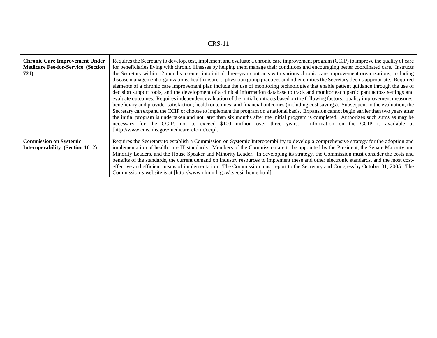|--|

| <b>Chronic Care Improvement Under</b><br><b>Medicare Fee-for-Service (Section</b><br>721) | Requires the Secretary to develop, test, implement and evaluate a chronic care improvement program (CCIP) to improve the quality of care<br>for beneficiaries living with chronic illnesses by helping them manage their conditions and encouraging better coordinated care. Instructs<br>the Secretary within 12 months to enter into initial three-year contracts with various chronic care improvement organizations, including<br>disease management organizations, health insurers, physician group practices and other entities the Secretary deems appropriate. Required<br>elements of a chronic care improvement plan include the use of monitoring technologies that enable patient guidance through the use of<br>decision support tools, and the development of a clinical information database to track and monitor each participant across settings and<br>evaluate outcomes. Requires independent evaluation of the initial contracts based on the following factors: quality improvement measures;<br>beneficiary and provider satisfaction; health outcomes; and financial outcomes (including cost savings). Subsequent to the evaluation, the<br>Secretary can expand the CCIP or choose to implement the program on a national basis. Expansion cannot begin earlier than two years after<br>the initial program is undertaken and not later than six months after the initial program is completed. Authorizes such sums as may be<br>necessary for the CCIP, not to exceed \$100 million over three years. Information on the CCIP is available at<br>[http://www.cms.hhs.gov/medicarereform/ccip]. |
|-------------------------------------------------------------------------------------------|---------------------------------------------------------------------------------------------------------------------------------------------------------------------------------------------------------------------------------------------------------------------------------------------------------------------------------------------------------------------------------------------------------------------------------------------------------------------------------------------------------------------------------------------------------------------------------------------------------------------------------------------------------------------------------------------------------------------------------------------------------------------------------------------------------------------------------------------------------------------------------------------------------------------------------------------------------------------------------------------------------------------------------------------------------------------------------------------------------------------------------------------------------------------------------------------------------------------------------------------------------------------------------------------------------------------------------------------------------------------------------------------------------------------------------------------------------------------------------------------------------------------------------------------------------------------------------------------------------------------------|
| <b>Commission on Systemic</b><br>Interoperability (Section 1012)                          | Requires the Secretary to establish a Commission on Systemic Interoperability to develop a comprehensive strategy for the adoption and<br>implementation of health care IT standards. Members of the Commission are to be appointed by the President, the Senate Majority and<br>Minority Leaders, and the House Speaker and Minority Leader. In developing its strategy, the Commission must consider the costs and<br>benefits of the standards, the current demand on industry resources to implement these and other electronic standards, and the most cost-<br>effective and efficient means of implementation. The Commission must report to the Secretary and Congress by October 31, 2005. The<br>Commission's website is at [http://www.nlm.nih.gov/csi/csi_home.html].                                                                                                                                                                                                                                                                                                                                                                                                                                                                                                                                                                                                                                                                                                                                                                                                                                         |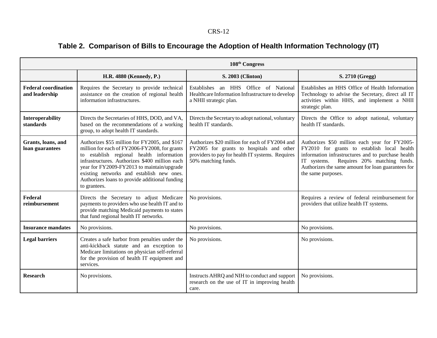# **Table 2. Comparison of Bills to Encourage the Adoption of Health Information Technology (IT)**

|                                               |                                                                                                                                                                                                                                                                                                                                                           | 108 <sup>th</sup> Congress                                                                                                                                            |                                                                                                                                                                                                                                                                               |
|-----------------------------------------------|-----------------------------------------------------------------------------------------------------------------------------------------------------------------------------------------------------------------------------------------------------------------------------------------------------------------------------------------------------------|-----------------------------------------------------------------------------------------------------------------------------------------------------------------------|-------------------------------------------------------------------------------------------------------------------------------------------------------------------------------------------------------------------------------------------------------------------------------|
|                                               | H.R. 4880 (Kennedy, P.)                                                                                                                                                                                                                                                                                                                                   | S. 2003 (Clinton)                                                                                                                                                     | S. 2710 (Gregg)                                                                                                                                                                                                                                                               |
| <b>Federal coordination</b><br>and leadership | Requires the Secretary to provide technical<br>assistance on the creation of regional health<br>information infrastructures.                                                                                                                                                                                                                              | Establishes an HHS Office of National<br>Healthcare Information Infrastructure to develop<br>a NHII strategic plan.                                                   | Establishes an HHS Office of Health Information<br>Technology to advise the Secretary, direct all IT<br>activities within HHS, and implement a NHII<br>strategic plan.                                                                                                        |
| <b>Interoperability</b><br>standards          | Directs the Secretaries of HHS, DOD, and VA,<br>based on the recommendations of a working<br>group, to adopt health IT standards.                                                                                                                                                                                                                         | Directs the Secretary to adopt national, voluntary<br>health IT standards.                                                                                            | Directs the Office to adopt national, voluntary<br>health IT standards.                                                                                                                                                                                                       |
| Grants, loans, and<br>loan guarantees         | Authorizes \$55 million for FY2005, and \$167<br>million for each of FY2006-FY2008, for grants<br>to establish regional health information<br>infrastructures. Authorizes \$400 million each<br>year for FY2009-FY2013 to maintain/upgrade<br>existing networks and establish new ones.<br>Authorizes loans to provide additional funding<br>to grantees. | Authorizes \$20 million for each of FY2004 and<br>FY2005 for grants to hospitals and other<br>providers to pay for health IT systems. Requires<br>50% matching funds. | Authorizes \$50 million each year for FY2005-<br>FY2010 for grants to establish local health<br>information infrastructures and to purchase health<br>Requires 20% matching funds.<br>IT systems.<br>Authorizes the same amount for loan guarantees for<br>the same purposes. |
| Federal<br>reimbursement                      | Directs the Secretary to adjust Medicare<br>payments to providers who use health IT and to<br>provide matching Medicaid payments to states<br>that fund regional health IT networks.                                                                                                                                                                      | No provisions.                                                                                                                                                        | Requires a review of federal reimbursement for<br>providers that utilize health IT systems.                                                                                                                                                                                   |
| <b>Insurance mandates</b>                     | No provisions.                                                                                                                                                                                                                                                                                                                                            | No provisions.                                                                                                                                                        | No provisions.                                                                                                                                                                                                                                                                |
| <b>Legal barriers</b>                         | Creates a safe harbor from penalties under the<br>anti-kickback statute and an exception to<br>Medicare limitations on physician self-referral<br>for the provision of health IT equipment and<br>services.                                                                                                                                               | No provisions.                                                                                                                                                        | No provisions.                                                                                                                                                                                                                                                                |
| <b>Research</b>                               | No provisions.                                                                                                                                                                                                                                                                                                                                            | Instructs AHRQ and NIH to conduct and support<br>research on the use of IT in improving health<br>care.                                                               | No provisions.                                                                                                                                                                                                                                                                |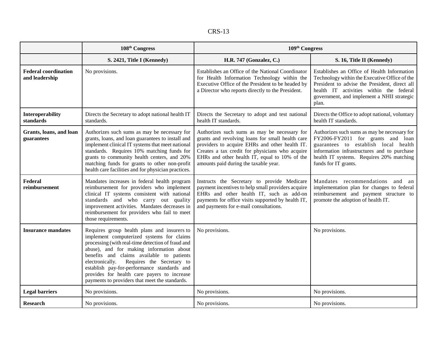|--|

|                                               | 108 <sup>th</sup> Congress                                                                                                                                                                                                                                                                                                                                                                                                             | 109 <sup>th</sup> Congress                                                                                                                                                                                                                                                                      |                                                                                                                                                                                                                                                 |
|-----------------------------------------------|----------------------------------------------------------------------------------------------------------------------------------------------------------------------------------------------------------------------------------------------------------------------------------------------------------------------------------------------------------------------------------------------------------------------------------------|-------------------------------------------------------------------------------------------------------------------------------------------------------------------------------------------------------------------------------------------------------------------------------------------------|-------------------------------------------------------------------------------------------------------------------------------------------------------------------------------------------------------------------------------------------------|
|                                               | S. 2421, Title I (Kennedy)                                                                                                                                                                                                                                                                                                                                                                                                             | H.R. 747 (Gonzalez, C.)                                                                                                                                                                                                                                                                         | S. 16, Title II (Kennedy)                                                                                                                                                                                                                       |
| <b>Federal coordination</b><br>and leadership | No provisions.                                                                                                                                                                                                                                                                                                                                                                                                                         | Establishes an Office of the National Coordinator<br>for Health Information Technology within the<br>Executive Office of the President to be headed by<br>a Director who reports directly to the President.                                                                                     | Establishes an Office of Health Information<br>Technology within the Executive Office of the<br>President to advise the President, direct all<br>health IT activities within the federal<br>government, and implement a NHII strategic<br>plan. |
| Interoperability<br>standards                 | Directs the Secretary to adopt national health IT<br>standards.                                                                                                                                                                                                                                                                                                                                                                        | Directs the Secretary to adopt and test national<br>health IT standards.                                                                                                                                                                                                                        | Directs the Office to adopt national, voluntary<br>health IT standards.                                                                                                                                                                         |
| Grants, loans, and loan<br>guarantees         | Authorizes such sums as may be necessary for<br>grants, loans, and loan guarantees to install and<br>implement clinical IT systems that meet national<br>standards. Requires 10% matching funds for<br>grants to community health centers, and 20%<br>matching funds for grants to other non-profit<br>health care facilities and for physician practices.                                                                             | Authorizes such sums as may be necessary for<br>grants and revolving loans for small health care<br>providers to acquire EHRs and other health IT.<br>Creates a tax credit for physicians who acquire<br>EHRs and other health IT, equal to 10% of the<br>amounts paid during the taxable year. | Authorizes such sums as may be necessary for<br>FY2006-FY2011 for grants and loan<br>guarantees to establish local health<br>information infrastructures and to purchase<br>health IT systems. Requires 20% matching<br>funds for IT grants.    |
| Federal<br>reimbursement                      | Mandates increases in federal health program<br>reimbursement for providers who implement<br>clinical IT systems consistent with national<br>standards and who carry out quality<br>improvement activities. Mandates decreases in<br>reimbursement for providers who fail to meet<br>those requirements.                                                                                                                               | Instructs the Secretary to provide Medicare<br>payment incentives to help small providers acquire<br>EHRs and other health IT, such as add-on<br>payments for office visits supported by health IT,<br>and payments for e-mail consultations.                                                   | Mandates recommendations and an<br>implementation plan for changes to federal<br>reimbursement and payment structure to<br>promote the adoption of health IT.                                                                                   |
| <b>Insurance mandates</b>                     | Requires group health plans and insurers to<br>implement computerized systems for claims<br>processing (with real-time detection of fraud and<br>abuse), and for making information about<br>benefits and claims available to patients<br>electronically.<br>Requires the Secretary to<br>establish pay-for-performance standards and<br>provides for health care payers to increase<br>payments to providers that meet the standards. | No provisions.                                                                                                                                                                                                                                                                                  | No provisions.                                                                                                                                                                                                                                  |
| <b>Legal barriers</b>                         | No provisions.                                                                                                                                                                                                                                                                                                                                                                                                                         | No provisions.                                                                                                                                                                                                                                                                                  | No provisions.                                                                                                                                                                                                                                  |
| <b>Research</b>                               | No provisions.                                                                                                                                                                                                                                                                                                                                                                                                                         | No provisions.                                                                                                                                                                                                                                                                                  | No provisions.                                                                                                                                                                                                                                  |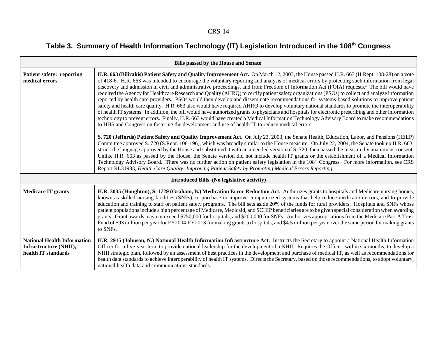# Table 3. Summary of Health Information Technology (IT) Legislation Introduced in the 108<sup>th</sup> Congress

| <b>Bills passed by the House and Senate</b>                                         |                                                                                                                                                                                                                                                                                                                                                                                                                                                                                                                                                                                                                                                                                                                                                                                                                                                                                                                                                                                                                                                                                                                                                                                                                                                                                                                                                                                                                                                                                                                                                                                                                                                                                                                                                                                                                                                                                                                                                                                                                                                                                                                                                                            |  |
|-------------------------------------------------------------------------------------|----------------------------------------------------------------------------------------------------------------------------------------------------------------------------------------------------------------------------------------------------------------------------------------------------------------------------------------------------------------------------------------------------------------------------------------------------------------------------------------------------------------------------------------------------------------------------------------------------------------------------------------------------------------------------------------------------------------------------------------------------------------------------------------------------------------------------------------------------------------------------------------------------------------------------------------------------------------------------------------------------------------------------------------------------------------------------------------------------------------------------------------------------------------------------------------------------------------------------------------------------------------------------------------------------------------------------------------------------------------------------------------------------------------------------------------------------------------------------------------------------------------------------------------------------------------------------------------------------------------------------------------------------------------------------------------------------------------------------------------------------------------------------------------------------------------------------------------------------------------------------------------------------------------------------------------------------------------------------------------------------------------------------------------------------------------------------------------------------------------------------------------------------------------------------|--|
| <b>Patient safety: reporting</b><br>medical errors                                  | H.R. 663 (Bilirakis) Patient Safety and Quality Improvement Act. On March 12, 2003, the House passed H.R. 663 (H.Rept. 108-28) on a vote<br>of 418-6. H.R. 663 was intended to encourage the voluntary reporting and analysis of medical errors by protecting such information from legal<br>discovery and admission in civil and administrative proceedings, and from Freedom of Information Act (FOIA) requests. <sup>a</sup> The bill would have<br>required the Agency for Healthcare Research and Quality (AHRQ) to certify patient safety organizations (PSOs) to collect and analyze information<br>reported by health care providers. PSOs would then develop and disseminate recommendations for systems-based solutions to improve patient<br>safety and health care quality. H.R. 663 also would have required AHRQ to develop voluntary national standards to promote the interoperability<br>of health IT systems. In addition, the bill would have authorized grants to physicians and hospitals for electronic prescribing and other information<br>technology to prevent errors. Finally, H.R. 663 would have created a Medical Information Technology Advisory Board to make recommendations<br>to HHS and Congress on fostering the development and use of health IT to reduce medical errors.<br>S. 720 (Jeffords) Patient Safety and Quality Improvement Act. On July 23, 2003, the Senate Health, Education, Labor, and Pensions (HELP)<br>Committee approved S. 720 (S.Rept. 108-196), which was broadly similar to the House measure. On July 22, 2004, the Senate took up H.R. 663,<br>struck the language approved by the House and substituted it with an amended version of S. 720, then passed the measure by unanimous consent.<br>Unlike H.R. 663 as passed by the House, the Senate version did not include health IT grants or the establishment of a Medical Information<br>Technology Advisory Board. There was no further action on patient safety legislation in the 108 <sup>th</sup> Congress. For more information, see CRS<br>Report RL31983, Health Care Quality: Improving Patient Safety by Promoting Medical Errors Reporting. |  |
|                                                                                     | Introduced Bills (No legislative activity)                                                                                                                                                                                                                                                                                                                                                                                                                                                                                                                                                                                                                                                                                                                                                                                                                                                                                                                                                                                                                                                                                                                                                                                                                                                                                                                                                                                                                                                                                                                                                                                                                                                                                                                                                                                                                                                                                                                                                                                                                                                                                                                                 |  |
| <b>Medicare IT grants</b>                                                           | H.R. 3035 (Houghton), S. 1729 (Graham, B.) Medication Error Reduction Act. Authorizes grants to hospitals and Medicare nursing homes,<br>known as skilled nursing facilities (SNFs), to purchase or improve computerized systems that help reduce medication errors, and to provide<br>education and training to staff on patient safety programs. The bill sets aside 20% of the funds for rural providers. Hospitals and SNFs whose<br>patient populations include a high percentage of Medicare, Medicaid, and SCHIP beneficiaries are to be given special consideration when awarding<br>grants. Grant awards may not exceed \$750,000 for hospitals, and \$200,000 for SNFs. Authorizes appropriations from the Medicare Part A Trust<br>Fund of \$93 million per year for FY2004-FY2013 for making grants to hospitals, and \$4.5 million per year over the same period for making grants<br>to SNFs.                                                                                                                                                                                                                                                                                                                                                                                                                                                                                                                                                                                                                                                                                                                                                                                                                                                                                                                                                                                                                                                                                                                                                                                                                                                                |  |
| <b>National Health Information</b><br>Infrastructure (NHII),<br>health IT standards | H.R. 2915 (Johnson, N.) National Health Information Infrastructure Act. Instructs the Secretary to appoint a National Health Information<br>Officer for a five-year term to provide national leadership for the development of a NHII. Requires the Officer, within six months, to develop a<br>NHII strategic plan, followed by an assessment of best practices in the development and purchase of medical IT, as well as recommendations for<br>health data standards to achieve interoperability of health IT systems. Directs the Secretary, based on those recommendations, to adopt voluntary,<br>national health data and communications standards.                                                                                                                                                                                                                                                                                                                                                                                                                                                                                                                                                                                                                                                                                                                                                                                                                                                                                                                                                                                                                                                                                                                                                                                                                                                                                                                                                                                                                                                                                                                 |  |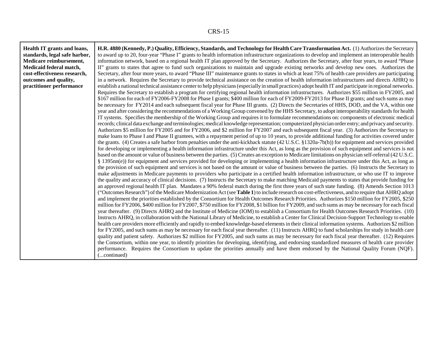┑

 $\Gamma$ 

Т

| Health IT grants and loans,   | H.R. 4880 (Kennedy, P.) Quality, Efficiency, Standards, and Technology for Health Care Transformation Act. (1) Authorizes the Secretary                   |
|-------------------------------|-----------------------------------------------------------------------------------------------------------------------------------------------------------|
| standards, legal safe harbor, | to award up to 20, four-year "Phase I" grants to health information infrastructure organizations to develop and implement an interoperable health         |
| Medicare reimbursement,       | information network, based on a regional health IT plan approved by the Secretary. Authorizes the Secretary, after four years, to award "Phase            |
| Medicaid federal match,       | II" grants to states that agree to fund such organizations to maintain and upgrade existing networks and develop new ones. Authorizes the                 |
| cost-effectiveness research,  | Secretary, after four more years, to award "Phase III" maintenance grants to states in which at least 75% of health care providers are participating      |
| outcomes and quality,         | in a network. Requires the Secretary to provide technical assistance on the creation of health information infrastructures and directs AHRQ to            |
| practitioner performance      | establish a national technical assistance center to help physicians (especially in small practices) adopt health IT and participate in regional networks. |
|                               | Requires the Secretary to establish a program for certifying regional health information infrastructures. Authorizes \$55 million in FY2005, and          |
|                               | \$167 million for each of FY2006-FY2008 for Phase I grants; \$400 million for each of FY2009-FY2013 for Phase II grants; and such sums as may             |
|                               | be necessary for FY2014 and each subsequent fiscal year for Phase III grants. (2) Directs the Secretaries of HHS, DOD, and the VA, within one             |
|                               | year and after considering the recommendations of a Working Group convened by the HHS Secretary, to adopt interoperability standards for health           |
|                               | IT systems. Specifies the membership of the Working Group and requires it to formulate recommendations on: components of electronic medical               |
|                               | records; clinical data exchange and terminologies; medical knowledge representation; computerized physician order entry; and privacy and security.        |
|                               | Authorizes \$5 million for FY2005 and for FY2006, and \$2 million for FY2007 and each subsequent fiscal year. (3) Authorizes the Secretary to             |
|                               | make loans to Phase I and Phase II grantees, with a repayment period of up to 10 years, to provide additional funding for activities covered under        |
|                               | the grants. (4) Creates a safe harbor from penalties under the anti-kickback statute (42 U.S.C. §1320a-7b(b)) for equipment and services provided         |
|                               | for developing or implementing a health information infrastructure under this Act, as long as the provision of such equipment and services is not         |
|                               | based on the amount or value of business between the parties. (5) Creates an exception to Medicare limitations on physician self-referral (42 U.S.C.      |
|                               | § 1395nn(e)) for equipment and services provided for developing or implementing a health information infrastructure under this Act, as long as            |
|                               | the provision of such equipment and services is not based on the amount or value of business between the parties. (6) Instructs the Secretary to          |
|                               | make adjustments in Medicare payments to providers who participate in a certified health information infrastructure, or who use IT to improve             |
|                               | the quality and accuracy of clinical decisions. (7) Instructs the Secretary to make matching Medicaid payments to states that provide funding for         |
|                               | an approved regional health IT plan. Mandates a 90% federal match during the first three years of such state funding. (8) Amends Section 1013             |
|                               | ("Outcomes Research") of the Medicare Modernization Act (see Table 1) to include research on cost-effectiveness, and to require that AHRQ adopt           |
|                               | and implement the priorities established by the Consortium for Health Outcomes Research Priorities. Authorizes \$150 million for FY2005, \$250            |
|                               | million for FY2006, \$400 million for FY2007, \$750 million for FY2008, \$1 billion for FY2009, and such sums as may be necessary for each fiscal         |
|                               | year thereafter. (9) Directs AHRQ and the Institute of Medicine (IOM) to establish a Consortium for Health Outcomes Research Priorities. (10)             |
|                               | Instructs AHRQ, in collaboration with the National Library of Medicine, to establish a Center for Clinical Decision-Support Technology to enable          |
|                               | health care providers more efficiently and rapidly to embed knowledge-based elements in their clinical information systems. Authorizes \$2 million        |
|                               | for FY2005, and such sums as may be necessary for each fiscal year thereafter. (11) Instructs AHRQ to fund scholarships for study in health care          |
|                               | quality and patient safety. Authorizes \$2 million for FY2005, and such sums as may be necessary for each fiscal year thereafter. (12) Requires           |
|                               | the Consortium, within one year, to identify priorities for developing, identifying, and endorsing standardized measures of health care provider          |
|                               | performance. Requires the Consortium to update the priorities annually and have them endorsed by the National Quality Forum (NQF).                        |
|                               | (continued)                                                                                                                                               |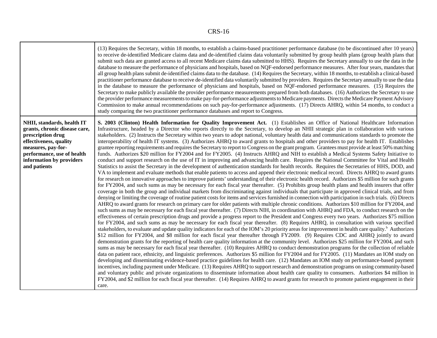|                                                                                                                                                                                                            | (13) Requires the Secretary, within 18 months, to establish a claims-based practitioner performance database (to be discontinued after 10 years)<br>to receive de-identified Medicare claims data and de-identified claims data voluntarily submitted by group health plans (group health plans that<br>submit such data are granted access to all recent Medicare claims data submitted to HHS). Requires the Secretary annually to use the data in the<br>database to measure the performance of physicians and hospitals, based on NQF-endorsed performance measures. After four years, mandates that<br>all group health plans submit de-identified claims data to the database. (14) Requires the Secretary, within 18 months, to establish a clinical-based<br>practitioner performance database to receive de-identified data voluntarily submitted by providers. Requires the Secretary annually to use the data<br>in the database to measure the performance of physicians and hospitals, based on NQF-endorsed performance measures. (15) Requires the<br>Secretary to make publicly available the provider performance measurements prepared from both databases. (16) Authorizes the Secretary to use<br>the provider performance measurements to make pay-for-performance adjustments to Medicare payments. Directs the Medicare Payment Advisory<br>Commission to make annual recommendations on such pay-for-performance adjustments. (17) Directs AHRQ, within 54 months, to conduct a<br>study comparing the two practitioner performance databases and report to Congress.                                                                                                                                                                                                                                                                                                                                                                                                                                                                                                                                                                                                                                                                                                                                                                                                                                                                                                                                                                                                                                                                                                                                                                                                                                                                                                                                                                                                                                                                                                                                                                                                                                                                                                                                                                                                                                                                                                                                                                                                                                                                                                                                                                                                                                                                                                                                 |
|------------------------------------------------------------------------------------------------------------------------------------------------------------------------------------------------------------|-------------------------------------------------------------------------------------------------------------------------------------------------------------------------------------------------------------------------------------------------------------------------------------------------------------------------------------------------------------------------------------------------------------------------------------------------------------------------------------------------------------------------------------------------------------------------------------------------------------------------------------------------------------------------------------------------------------------------------------------------------------------------------------------------------------------------------------------------------------------------------------------------------------------------------------------------------------------------------------------------------------------------------------------------------------------------------------------------------------------------------------------------------------------------------------------------------------------------------------------------------------------------------------------------------------------------------------------------------------------------------------------------------------------------------------------------------------------------------------------------------------------------------------------------------------------------------------------------------------------------------------------------------------------------------------------------------------------------------------------------------------------------------------------------------------------------------------------------------------------------------------------------------------------------------------------------------------------------------------------------------------------------------------------------------------------------------------------------------------------------------------------------------------------------------------------------------------------------------------------------------------------------------------------------------------------------------------------------------------------------------------------------------------------------------------------------------------------------------------------------------------------------------------------------------------------------------------------------------------------------------------------------------------------------------------------------------------------------------------------------------------------------------------------------------------------------------------------------------------------------------------------------------------------------------------------------------------------------------------------------------------------------------------------------------------------------------------------------------------------------------------------------------------------------------------------------------------------------------------------------------------------------------------------------------------------------------------------------------------------------------------------------------------------------------------------------------------------------------------------------------------------------------------------------------------------------------------------------------------------------------------------------------------------------------------------------------------------------------------------------------------------------------------------------------------------------------------------------------------------------------------------------------------------------------|
| NHII, standards, health IT<br>grants, chronic disease care,<br>prescription drug<br>effectiveness, quality<br>measures, pay-for-<br>performance, use of health<br>information by providers<br>and patients | S. 2003 (Clinton) Health Information for Quality Improvement Act. (1) Establishes an Office of National Healthcare Information<br>Infrastructure, headed by a Director who reports directly to the Secretary, to develop an NHII strategic plan in collaboration with various<br>stakeholders. (2) Instructs the Secretary within two years to adopt national, voluntary health data and communications standards to promote the<br>interoperability of health IT systems. (3) Authorizes AHRQ to award grants to hospitals and other providers to pay for health IT. Establishes<br>grantee reporting requirements and requires the Secretary to report to Congress on the grant program. Grantees must provide at least 50% matching<br>funds. Authorizes \$20 million for FY2004 and for FY2005. (4) Instructs AHRQ and NIH to establish a Medical Systems Safety Initiative to<br>conduct and support research on the use of IT in improving and advancing health care. Requires the National Committee for Vital and Health<br>Statistics to assist the Secretary in the development of authentication standards for health records. Requires the Secretaries of HHS, DOD, and<br>VA to implement and evaluate methods that enable patients to access and append their electronic medical record. Directs AHRQ to award grants<br>for research on innovative approaches to improve patients' understanding of their electronic health record. Authorizes \$5 million for such grants<br>for FY2004, and such sums as may be necessary for each fiscal year thereafter. (5) Prohibits group health plans and health insurers that offer<br>coverage in both the group and individual markets from discriminating against individuals that participate in approved clinical trials, and from<br>denying or limiting the coverage of routine patient costs for items and services furnished in connection with participation in such trials. (6) Directs<br>AHRQ to award grants for research on primary care for older patients with multiple chronic conditions. Authorizes \$10 million for FY2004, and<br>such sums as may be necessary for each fiscal year thereafter. (7) Directs NIH, in coordination with AHRQ and FDA, to conduct research on the<br>effectiveness of certain prescription drugs and provide a progress report to the President and Congress every two years. Authorizes \$75 million<br>for FY2004, and such sums as may be necessary for each fiscal year thereafter. (8) Requires AHRQ, in consultation with various specified<br>stakeholders, to evaluate and update quality indicators for each of the IOM's 20 priority areas for improvement in health care quality. <sup>b</sup> Authorizes<br>\$12 million for FY2004, and \$8 million for each fiscal year thereafter through FY2009. (9) Requires CDC and AHRQ jointly to award<br>demonstration grants for the reporting of health care quality information at the community level. Authorizes \$25 million for FY2004, and such<br>sums as may be necessary for each fiscal year thereafter. (10) Requires AHRQ to conduct demonstration programs for the collection of reliable<br>data on patient race, ethnicity, and linguistic preferences. Authorizes \$5 million for FY2004 and for FY2005. (11) Mandates an IOM study on<br>developing and disseminating evidence-based practice guidelines for health care. (12) Mandates an IOM study on performance-based payment<br>incentives, including payment under Medicare. (13) Requires AHRQ to support research and demonstration programs on using community-based<br>and voluntary public and private organizations to disseminate information about health care quality to consumers. Authorizes \$4 million in<br>FY2004, and \$2 million for each fiscal year thereafter. (14) Requires AHRQ to award grants for research to promote patient engagement in their<br>care. |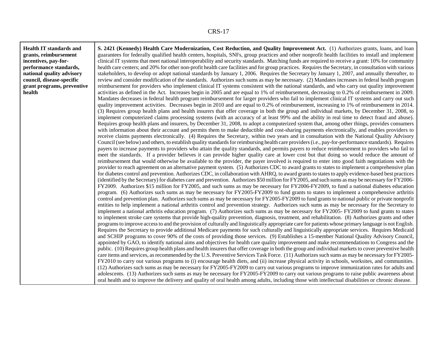**Health IT standards andgrants, reimbursement incentives, pay-forperformance standards, national quality advisory council, disease-specific grant programs, preventive health**

**S. 2421 (Kennedy) Health Care Modernization, Cost Reduction, and Quality Improvement Act.** (1) Authorizes grants, loans, and loan guarantees for federally qualified health centers, hospitals, SNFs, group practices and other nonprofit health facilities to install and implement clinical IT systems that meet national interoperability and security standards. Matching funds are required to receive a grant: 10% for community health care centers; and 20% for other non-profit health care facilities and for group practices. Requires the Secretary, in consultation with various stakeholders, to develop or adopt national standards by January 1, 2006. Requires the Secretary by January 1, 2007, and annually thereafter, to review and consider modification of the standards. Authorizes such sums as may be necessary. (2) Mandates increases in federal health program reimbursement for providers who implement clinical IT systems consistent with the national standards, and who carry out quality improvement activities as defined in the Act. Increases begin in 2005 and are equal to 1% of reimbursement, decreasing to 0.2% of reimbursement in 2009. Mandates decreases in federal health program reimbursement for larger providers who fail to implement clinical IT systems and carry out such quality improvement activities. Decreases begin in 2010 and are equal to 0.2% of reimbursement, increasing to 1% of reimbursement in 2014. (3) Requires group health plans and health insurers that offer coverage in both the group and individual markets, by December 31, 2008, to implement computerized claims processing systems (with an accuracy of at least 99% and the ability in real time to detect fraud and abuse). Requires group health plans and insurers, by December 31, 2008, to adopt a computerized system that, among other things, provides consumers with information about their account and permits them to make deductible and cost-sharing payments electronically, and enables providers to receive claims payments electronically. (4) Requires the Secretary, within two years and in consultation with the National Quality Advisory Council (see below) and others, to establish quality standards for reimbursing health care providers (i.e., pay-for-performance standards). Requires payers to increase payments to providers who attain the quality standards, and permits payers to reduce reimbursement to providers who fail to meet the standards. If a provider believes it can provide higher quality care at lower cost but that doing so would reduce the amount of reimbursement that would otherwise be available to the provider, the payer involved is required to enter into good faith negotiations with the provider to reach agreement on an alternative payment system. (5) Authorizes CDC to award grants to states to implement a comprehensive plan for diabetes control and prevention. Authorizes CDC, in collaboration with AHRQ, to award grants to states to apply evidence-based best practices (identified by the Secretary) for diabetes care and prevention. Authorizes \$50 million for FY2005, and such sums as may be necessary for FY2006- FY2009. Authorizes \$15 million for FY2005, and such sums as may be necessary for FY2006-FY2009, to fund a national diabetes education program. (6) Authorizes such sums as may be necessary for FY2005-FY2009 to fund grants to states to implement a comprehensive arthritis control and prevention plan. Authorizes such sums as may be necessary for FY2005-FY2009 to fund grants to national public or private nonprofit entities to help implement a national arthritis control and prevention strategy. Authorizes such sums as may be necessary for the Secretary to implement a national arthritis education program. (7) Authorizes such sums as may be necessary for FY2005- FY2009 to fund grants to states to implement stroke care systems that provide high-quality prevention, diagnosis, treatment, and rehabilitation. (8) Authorizes grants and other programs to improve access to and the provision of culturally and linguistically appropriate care for patients whose primary language is not English. Requires the Secretary to provide additional Medicare payments for such culturally and linguistically appropriate services. Requires Medicaid and SCHIP programs to cover 90% of the costs of providing those services. (9) Establishes a 15-member National Quality Advisory Council, appointed by GAO, to identify national aims and objectives for health care quality improvement and make recommendations to Congress and the public. (10) Requires group health plans and health insurers that offer coverage in both the group and individual markets to cover preventive health care items and services, as recommended by the U.S. Preventive Services Task Force. (11) Authorizes such sums as may be necessary for FY2005- FY2010 to carry out various programs to (i) encourage health diets, and (ii) increase physical activity in schools, worksites, and communities. (12) Authorizes such sums as may be necessary for FY2005-FY2009 to carry out various programs to improve immunization rates for adults and adolescents. (13) Authorizes such sums as may be necessary for FY2005-FY2009 to carry out various programs to raise public awareness about oral health and to improve the delivery and quality of oral health among adults, including those with intellectual disabilities or chronic disease.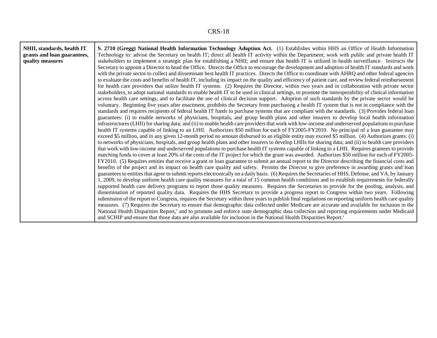┑

 $\Gamma$ 

т

| NHII, standards, health IT  | S. 2710 (Gregg) National Health Information Technology Adoption Act. (1) Establishes within HHS an Office of Health Information                         |
|-----------------------------|---------------------------------------------------------------------------------------------------------------------------------------------------------|
| grants and loan guarantees, | Technology to: advise the Secretary on health IT; direct all health IT activity within the Department; work with public and private health IT           |
| quality measures            | stakeholders to implement a strategic plan for establishing a NHII; and ensure that health IT is utilized in health surveillance. Instructs the         |
|                             | Secretary to appoint a Director to head the Office. Directs the Office to encourage the development and adoption of health IT standards and work        |
|                             | with the private sector to collect and disseminate best health IT practices. Directs the Office to coordinate with AHRQ and other federal agencies      |
|                             | to evaluate the costs and benefits of health IT, including its impact on the quality and efficiency of patient care, and review federal reimbursement   |
|                             | for health care providers that utilize health IT systems. (2) Requires the Director, within two years and in collaboration with private sector          |
|                             | stakeholders, to adopt national standards to enable health IT to be used in clinical settings, to promote the interoperability of clinical information  |
|                             | across health care settings, and to facilitate the use of clinical decision support. Adoption of such standards by the private sector would be          |
|                             | voluntary. Beginning five years after enactment, prohibits the Secretary from purchasing a health IT system that is not in compliance with the          |
|                             | standards and requires recipients of federal health IT funds to purchase systems that are compliant with the standards. (3) Provides federal loan       |
|                             | guarantees: (i) to enable networks of physicians, hospitals, and group health plans and other insurers to develop local health information              |
|                             | infrastructures (LHII) for sharing data; and (ii) to enable health care providers that work with low-income and underserved populations to purchase     |
|                             | health IT systems capable of linking to an LHII. Authorizes \$50 million for each of FY2005-FY2010. No principal of a loan guarantee may                |
|                             | exceed \$5 million, and in any given 12-month period no amount disbursed to an eligible entity may exceed \$5 million. (4) Authorizes grants: (i)       |
|                             | to networks of physicians, hospitals, and group health plans and other insurers to develop LHIIs for sharing data; and (ii) to health care providers    |
|                             | that work with low-income and underserved populations to purchase health IT systems capable of linking to a LHII. Requires grantees to provide          |
|                             | matching funds to cover at least 20% of the costs of the IT project for which the grant was awarded. Authorizes \$50 million for each of FY2005-        |
|                             | FY2010. (5) Requires entities that receive a grant or loan guarantee to submit an annual report to the Director describing the financial costs and      |
|                             | benefits of the project and its impact on health care quality and safety. Permits the Director to give preference in awarding grants and loan           |
|                             | guarantees to entities that agree to submit reports electronically on a daily basis. (6) Requires the Secretaries of HHS, Defense, and VA, by January   |
|                             | 1, 2009, to develop uniform health care quality measures for a total of 15 common health conditions and to establish requirements for federally         |
|                             | supported health care delivery programs to report those quality measures. Requires the Secretaries to provide for the pooling, analysis, and            |
|                             | dissemination of reported quality data. Requires the HHS Secretary to provide a progress report to Congress within two years. Following                 |
|                             | submission of the report to Congress, requires the Secretary within three years to publish final regulations on reporting uniform health care quality   |
|                             | measures. (7) Requires the Secretary to ensure that demographic data collected under Medicare are accurate and available for inclusion in the           |
|                             | National Health Disparities Report, <sup>c</sup> and to promote and enforce state demographic data collection and reporting requirements under Medicaid |
|                             | and SCHIP and ensure that those data are also available for inclusion in the National Health Disparities Report. <sup>c</sup>                           |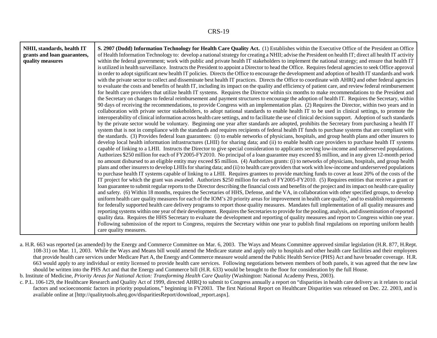| NHII, standards, health IT  | S. 2907 (Dodd) Information Technology for Health Care Quality Act. (1) Establishes within the Executive Office of the President an Office                       |
|-----------------------------|-----------------------------------------------------------------------------------------------------------------------------------------------------------------|
| grants and loan guarantees, | of Health Information Technology to: develop a national strategy for creating a NHII; advise the President on health IT; direct all health IT activity          |
| quality measures            | within the federal government; work with public and private health IT stakeholders to implement the national strategy; and ensure that health IT                |
|                             | is utilized in health surveillance. Instructs the President to appoint a Director to head the Office. Requires federal agencies to seek Office approval         |
|                             | in order to adopt significant new health IT policies. Directs the Office to encourage the development and adoption of health IT standards and work              |
|                             | with the private sector to collect and disseminate best health IT practices. Directs the Office to coordinate with AHRQ and other federal agencies              |
|                             | to evaluate the costs and benefits of health IT, including its impact on the quality and efficiency of patient care, and review federal reimbursement           |
|                             | for health care providers that utilize health IT systems. Requires the Director within six months to make recommendations to the President and                  |
|                             | the Secretary on changes to federal reimbursement and payment structures to encourage the adoption of health IT. Requires the Secretary, within                 |
|                             | 90 days of receiving the recommendations, to provide Congress with an implementation plan. (2) Requires the Director, within two years and in                   |
|                             | collaboration with private sector stakeholders, to adopt national standards to enable health IT to be used in clinical settings, to promote the                 |
|                             | interoperability of clinical information across health care settings, and to facilitate the use of clinical decision support. Adoption of such standards        |
|                             | by the private sector would be voluntary. Beginning one year after standards are adopted, prohibits the Secretary from purchasing a health IT                   |
|                             | system that is not in compliance with the standards and requires recipients of federal health IT funds to purchase systems that are compliant with              |
|                             | the standards. (3) Provides federal loan guarantees: (i) to enable networks of physicians, hospitals, and group health plans and other insurers to              |
|                             | develop local health information infrastructures (LHII) for sharing data; and (ii) to enable health care providers to purchase health IT systems                |
|                             | capable of linking to a LHII. Instructs the Director to give special consideration to applicants serving low-income and underserved populations.                |
|                             | Authorizes \$250 million for each of FY2005-FY2010. No principal of a loan guarantee may exceed \$5 million, and in any given 12-month period                   |
|                             | no amount disbursed to an eligible entity may exceed \$5 million. (4) Authorizes grants: (i) to networks of physicians, hospitals, and group health             |
|                             | plans and other insurers to develop LHIIs for sharing data; and (ii) to health care providers that work with low-income and underserved populations             |
|                             | to purchase health IT systems capable of linking to a LHII. Requires grantees to provide matching funds to cover at least 20% of the costs of the               |
|                             | IT project for which the grant was awarded. Authorizes \$250 million for each of FY2005-FY2010. (5) Requires entities that receive a grant or                   |
|                             | loan guarantee to submit regular reports to the Director describing the financial costs and benefits of the project and its impact on health care quality       |
|                             | and safety. (6) Within 18 months, requires the Secretaries of HHS, Defense, and the VA, in collaboration with other specified groups, to develop                |
|                             | uniform health care quality measures for each of the IOM's 20 priority areas for improvement in health care quality, <sup>b</sup> and to establish requirements |
|                             | for federally supported health care delivery programs to report those quality measures. Mandates full implementation of all quality measures and                |
|                             | reporting systems within one year of their development. Requires the Secretaries to provide for the pooling, analysis, and dissemination of reported            |
|                             | quality data. Requires the HHS Secretary to evaluate the development and reporting of quality measures and report to Congress within one year.                  |
|                             | Following submission of the report to Congress, requires the Secretary within one year to publish final regulations on reporting uniform health                 |
|                             | care quality measures.                                                                                                                                          |

a. H.R. 663 was reported (as amended) by the Energy and Commerce Committee on Mar. 6, 2003. The Ways and Means Committee approved similar legislation (H.R. 877, H.Rept. 108-31) on Mar. 11, 2003. While the Ways and Means bill would amend the Medicare statute and apply only to hospitals and other health care facilities and their employees that provide health care services under Medicare Part A, the Energy and Commerce measure would amend the Public Health Service (PHS) Act and have broader coverage. H.R. 663 would apply to any individual or entity licensed to provide health care services. Following negotiations between members of both panels, it was agreed that the new law should be written into the PHS Act and that the Energy and Commerce bill (H.R. 633) would be brought to the floor for consideration by the full House.

b. Institute of Medicine, *Priority Areas for National Action: Transforming Health Care Quality* (Washington: National Academy Press, 2003).

c. P.L. 106-129, the Healthcare Research and Quality Act of 1999, directed AHRQ to submit to Congress annually a report on "disparities in health care delivery as it relates to racial factors and socioeconomic factors in priority populations," beginning in FY2003. The first National Report on Healthcare Disparities was released on Dec. 22. 2003, and is available online at [http://qualitytools.ahrq.gov/disparitiesReport/download\_report.aspx].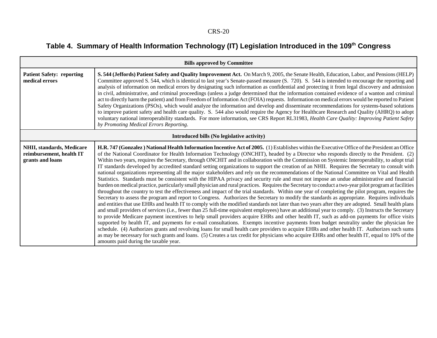# Table 4. Summary of Health Information Technology (IT) Legislation Introduced in the 109<sup>th</sup> Congress

| <b>Bills approved by Committee</b>                                        |                                                                                                                                                                                                                                                                                                                                                                                                                                                                                                                                                                                                                                                                                                                                                                                                                                                                                                                                                                                                                                                                                                                                                                                                                                                                                                                                                                                                                                                                                                                                                                                                                                                                                                                                                                                                                                                                                                                                                                                                                                                                                                                                                                                                                                                                                                                   |
|---------------------------------------------------------------------------|-------------------------------------------------------------------------------------------------------------------------------------------------------------------------------------------------------------------------------------------------------------------------------------------------------------------------------------------------------------------------------------------------------------------------------------------------------------------------------------------------------------------------------------------------------------------------------------------------------------------------------------------------------------------------------------------------------------------------------------------------------------------------------------------------------------------------------------------------------------------------------------------------------------------------------------------------------------------------------------------------------------------------------------------------------------------------------------------------------------------------------------------------------------------------------------------------------------------------------------------------------------------------------------------------------------------------------------------------------------------------------------------------------------------------------------------------------------------------------------------------------------------------------------------------------------------------------------------------------------------------------------------------------------------------------------------------------------------------------------------------------------------------------------------------------------------------------------------------------------------------------------------------------------------------------------------------------------------------------------------------------------------------------------------------------------------------------------------------------------------------------------------------------------------------------------------------------------------------------------------------------------------------------------------------------------------|
| <b>Patient Safety: reporting</b><br>medical errors                        | S. 544 (Jeffords) Patient Safety and Quality Improvement Act. On March 9, 2005, the Senate Health, Education, Labor, and Pensions (HELP)<br>Committee approved S. 544, which is identical to last year's Senate-passed measure (S. 720). S. 544 is intended to encourage the reporting and<br>analysis of information on medical errors by designating such information as confidential and protecting it from legal discovery and admission<br>in civil, administrative, and criminal proceedings (unless a judge determined that the information contained evidence of a wanton and criminal<br>act to directly harm the patient) and from Freedom of Information Act (FOIA) requests. Information on medical errors would be reported to Patient<br>Safety Organizations (PSOs), which would analyze the information and develop and disseminate recommendations for systems-based solutions<br>to improve patient safety and health care quality. S. 544 also would require the Agency for Healthcare Research and Quality (AHRQ) to adopt<br>voluntary national interoperability standards. For more information, see CRS Report RL31983, Health Care Quality: Improving Patient Safety<br>by Promoting Medical Errors Reporting.                                                                                                                                                                                                                                                                                                                                                                                                                                                                                                                                                                                                                                                                                                                                                                                                                                                                                                                                                                                                                                                                            |
|                                                                           | Introduced bills (No legislative activity)                                                                                                                                                                                                                                                                                                                                                                                                                                                                                                                                                                                                                                                                                                                                                                                                                                                                                                                                                                                                                                                                                                                                                                                                                                                                                                                                                                                                                                                                                                                                                                                                                                                                                                                                                                                                                                                                                                                                                                                                                                                                                                                                                                                                                                                                        |
| NHII, standards, Medicare<br>reimbursement, health IT<br>grants and loans | H.R. 747 (Gonzalez) National Health Information Incentive Act of 2005. (1) Establishes within the Executive Office of the President an Office<br>of the National Coordinator for Health Information Technology (ONCHIT), headed by a Director who responds directly to the President. (2)<br>Within two years, requires the Secretary, through ONCHIT and in collaboration with the Commission on Systemic Interoperability, to adopt trial<br>IT standards developed by accredited standard setting organizations to support the creation of an NHII. Requires the Secretary to consult with<br>national organizations representing all the major stakeholders and rely on the recommendations of the National Committee on Vital and Health<br>Statistics. Standards must be consistent with the HIPAA privacy and security rule and must not impose an undue administrative and financial<br>burden on medical practice, particularly small physician and rural practices. Requires the Secretary to conduct a two-year pilot program at facilities<br>throughout the country to test the effectiveness and impact of the trial standards. Within one year of completing the pilot program, requires the<br>Secretary to assess the program and report to Congress. Authorizes the Secretary to modify the standards as appropriate. Requires individuals<br>and entities that use EHRs and health IT to comply with the modified standards not later than two years after they are adopted. Small health plans<br>and small providers of services (i.e., fewer than 25 full-time equivalent employees) have an additional year to comply. (3) Instructs the Secretary<br>to provide Medicare payment incentives to help small providers acquire EHRs and other health IT, such as add-on payments for office visits<br>supported by health IT, and payments for e-mail consultations. Exempts incentive payments from budget neutrality under the physician fee<br>schedule. (4) Authorizes grants and revolving loans for small health care providers to acquire EHRs and other health IT. Authorizes such sums<br>as may be necessary for such grants and loans. (5) Creates a tax credit for physicians who acquire EHRs and other health IT, equal to 10% of the<br>amounts paid during the taxable year. |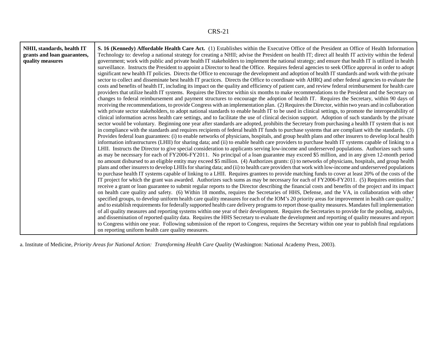| NHII, standards, health IT  | S. 16 (Kennedy) Affordable Health Care Act. (1) Establishes within the Executive Office of the President an Office of Health Information                       |
|-----------------------------|----------------------------------------------------------------------------------------------------------------------------------------------------------------|
| grants and loan guarantees, | Technology to: develop a national strategy for creating a NHII; advise the President on health IT; direct all health IT activity within the federal            |
| quality measures            | government; work with public and private health IT stakeholders to implement the national strategy; and ensure that health IT is utilized in health            |
|                             | surveillance. Instructs the President to appoint a Director to head the Office. Requires federal agencies to seek Office approval in order to adopt            |
|                             | significant new health IT policies. Directs the Office to encourage the development and adoption of health IT standards and work with the private              |
|                             | sector to collect and disseminate best health IT practices. Directs the Office to coordinate with AHRQ and other federal agencies to evaluate the              |
|                             | costs and benefits of health IT, including its impact on the quality and efficiency of patient care, and review federal reimbursement for health care          |
|                             | providers that utilize health IT systems. Requires the Director within six months to make recommendations to the President and the Secretary on                |
|                             | changes to federal reimbursement and payment structures to encourage the adoption of health IT. Requires the Secretary, within 90 days of                      |
|                             | receiving the recommendations, to provide Congress with an implementation plan. (2) Requires the Director, within two years and in collaboration               |
|                             | with private sector stakeholders, to adopt national standards to enable health IT to be used in clinical settings, to promote the interoperability of          |
|                             | clinical information across health care settings, and to facilitate the use of clinical decision support. Adoption of such standards by the private            |
|                             | sector would be voluntary. Beginning one year after standards are adopted, prohibits the Secretary from purchasing a health IT system that is not              |
|                             | in compliance with the standards and requires recipients of federal health IT funds to purchase systems that are compliant with the standards. (3)             |
|                             | Provides federal loan guarantees: (i) to enable networks of physicians, hospitals, and group health plans and other insurers to develop local health           |
|                             | information infrastructures (LHII) for sharing data; and (ii) to enable health care providers to purchase health IT systems capable of linking to a            |
|                             | LHII. Instructs the Director to give special consideration to applicants serving low-income and underserved populations. Authorizes such sums                  |
|                             | as may be necessary for each of FY2006-FY2011. No principal of a loan guarantee may exceed \$5 million, and in any given 12-month period                       |
|                             | no amount disbursed to an eligible entity may exceed \$5 million. (4) Authorizes grants: (i) to networks of physicians, hospitals, and group health            |
|                             | plans and other insurers to develop LHIIs for sharing data; and (ii) to health care providers that work with low-income and underserved populations            |
|                             | to purchase health IT systems capable of linking to a LHII. Requires grantees to provide matching funds to cover at least 20% of the costs of the              |
|                             | IT project for which the grant was awarded. Authorizes such sums as may be necessary for each of FY2006-FY2011. (5) Requires entities that                     |
|                             | receive a grant or loan guarantee to submit regular reports to the Director describing the financial costs and benefits of the project and its impact          |
|                             | on health care quality and safety. (6) Within 18 months, requires the Secretaries of HHS, Defense, and the VA, in collaboration with other                     |
|                             | specified groups, to develop uniform health care quality measures for each of the IOM's 20 priority areas for improvement in health care quality, <sup>a</sup> |
|                             | and to establish requirements for federally supported health care delivery programs to report those quality measures. Mandates full implementation             |
|                             | of all quality measures and reporting systems within one year of their development. Requires the Secretaries to provide for the pooling, analysis,             |
|                             | and dissemination of reported quality data. Requires the HHS Secretary to evaluate the development and reporting of quality measures and report                |
|                             | to Congress within one year. Following submission of the report to Congress, requires the Secretary within one year to publish final regulations               |
|                             | on reporting uniform health care quality measures.                                                                                                             |

a. Institute of Medicine, *Priority Areas for National Action: Transforming Health Care Quality* (Washington: National Academy Press, 2003).

 $\mathbf{r}$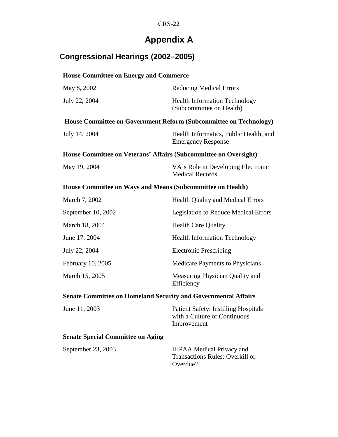# **Appendix A**

## **Congressional Hearings (2002–2005)**

### **House Committee on Energy and Commerce**

| May 8, 2002                                                              | <b>Reducing Medical Errors</b>                                      |  |
|--------------------------------------------------------------------------|---------------------------------------------------------------------|--|
| July 22, 2004                                                            | <b>Health Information Technology</b><br>(Subcommittee on Health)    |  |
| <b>House Committee on Government Reform (Subcommittee on Technology)</b> |                                                                     |  |
| July 14, 2004                                                            | Health Informatics, Public Health, and<br><b>Emergency Response</b> |  |
| House Committee on Veterans' Affairs (Subcommittee on Oversight)         |                                                                     |  |
| May 19, 2004                                                             | VA's Role in Developing Electronic<br><b>Medical Records</b>        |  |
| House Committee on Ways and Means (Subcommittee on Health)               |                                                                     |  |
| March 7, 2002                                                            | <b>Health Quality and Medical Errors</b>                            |  |
|                                                                          |                                                                     |  |

| September 10, 2002 | <b>Legislation to Reduce Medical Errors</b>   |
|--------------------|-----------------------------------------------|
| March 18, 2004     | <b>Health Care Quality</b>                    |
| June 17, 2004      | <b>Health Information Technology</b>          |
| July 22, 2004      | <b>Electronic Prescribing</b>                 |
| February 10, 2005  | <b>Medicare Payments to Physicians</b>        |
| March 15, 2005     | Measuring Physician Quality and<br>Efficiency |

### **Senate Committee on Homeland Security and Governmental Affairs**

| June 11, 2003                            | <b>Patient Safety: Instilling Hospitals</b><br>with a Culture of Continuous<br>Improvement |
|------------------------------------------|--------------------------------------------------------------------------------------------|
| <b>Senate Special Committee on Aging</b> |                                                                                            |
| September 23, 2003                       | <b>HIPAA</b> Medical Privacy and<br><b>Transactions Rules: Overkill or</b><br>Overdue?     |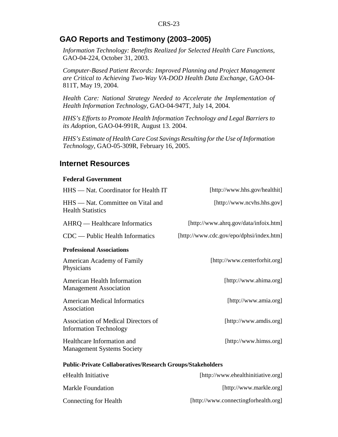### **GAO Reports and Testimony (2003–2005)**

*Information Technology: Benefits Realized for Selected Health Care Functions*, GAO-04-224, October 31, 2003.

*Computer-Based Patient Records: Improved Planning and Project Management are Critical to Achieving Two-Way VA-DOD Health Data Exchange*, GAO-04- 811T, May 19, 2004.

*Health Care: National Strategy Needed to Accelerate the Implementation of Health Information Technology*, GAO-04-947T, July 14, 2004.

*HHS's Efforts to Promote Health Information Technology and Legal Barriers to its Adoption*, GAO-04-991R, August 13. 2004.

*HHS's Estimate of Health Care Cost Savings Resulting for the Use of Information Technology*, GAO-05-309R, February 16, 2005.

#### **Internet Resources**

#### **Federal Government**

| HHS - Nat. Coordinator for Health IT                                 | [http://www.hhs.gov/healthit]            |
|----------------------------------------------------------------------|------------------------------------------|
| HHS - Nat. Committee on Vital and<br><b>Health Statistics</b>        | [http://www.ncvhs.hhs.gov]               |
| AHRQ — Healthcare Informatics                                        | [http://www.ahrq.gov/data/infoix.htm]    |
| $CDC$ — Public Health Informatics                                    | [http://www.cdc.gov/epo/dphsi/index.htm] |
| <b>Professional Associations</b>                                     |                                          |
| American Academy of Family<br>Physicians                             | [http://www.centerforhit.org]            |
| <b>American Health Information</b><br><b>Management Association</b>  | [http://www.ahima.org]                   |
| <b>American Medical Informatics</b><br>Association                   | [http://www.amia.org]                    |
| Association of Medical Directors of<br><b>Information Technology</b> | [http://www.amdis.org]                   |
| Healthcare Information and<br><b>Management Systems Society</b>      | [http://www.himss.org]                   |
| <b>Public-Private Collaboratives/Research Groups/Stakeholders</b>    |                                          |
| eHealth Initiative                                                   | [http://www.ehealthinitiative.org]       |
| <b>Markle Foundation</b>                                             | [http://www.markle.org]                  |

Connecting for Health [http://www.connectingforhealth.org]